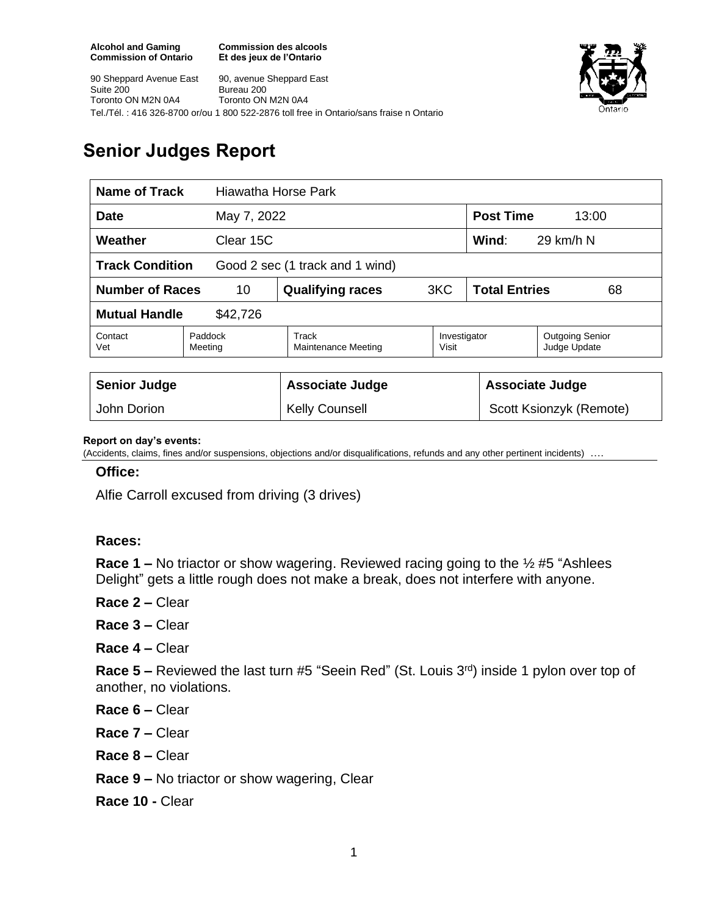**Commission des alcools Et des jeux de l'Ontario**



90 Sheppard Avenue East Suite 200 Toronto ON M2N 0A4 90, avenue Sheppard East Bureau 200 Toronto ON M2N 0A4 Tel./Tél. : 416 326-8700 or/ou 1 800 522-2876 toll free in Ontario/sans fraise n Ontario

## **Senior Judges Report**

| <b>Name of Track</b><br>Hiawatha Horse Park               |                    |                                     |                       |                                        |  |
|-----------------------------------------------------------|--------------------|-------------------------------------|-----------------------|----------------------------------------|--|
| <b>Date</b>                                               | May 7, 2022        |                                     |                       | <b>Post Time</b><br>13:00              |  |
| Weather<br>Clear 15C                                      |                    |                                     |                       | Wind:<br>29 km/h N                     |  |
| <b>Track Condition</b><br>Good 2 sec (1 track and 1 wind) |                    |                                     |                       |                                        |  |
| <b>Number of Races</b><br>10                              |                    | <b>Qualifying races</b>             | 3KC                   | <b>Total Entries</b><br>68             |  |
| <b>Mutual Handle</b><br>\$42,726                          |                    |                                     |                       |                                        |  |
| Contact<br>Vet                                            | Paddock<br>Meeting | Track<br><b>Maintenance Meeting</b> | Investigator<br>Visit | <b>Outgoing Senior</b><br>Judge Update |  |
|                                                           |                    |                                     |                       |                                        |  |
| <b>Senior Judge</b>                                       |                    | <b>Associate Judge</b>              |                       | <b>Associate Judge</b>                 |  |
| John Dorion                                               |                    | <b>Kelly Counsell</b>               |                       | Scott Ksionzyk (Remote)                |  |

## **Report on day's events:**

(Accidents, claims, fines and/or suspensions, objections and/or disqualifications, refunds and any other pertinent incidents) ….

## **Office:**

Alfie Carroll excused from driving (3 drives)

## **Races:**

**Race 1 –** No triactor or show wagering. Reviewed racing going to the ½ #5 "Ashlees Delight" gets a little rough does not make a break, does not interfere with anyone.

- **Race 2 –** Clear
- **Race 3 –** Clear
- **Race 4 –** Clear

**Race 5 –** Reviewed the last turn #5 "Seein Red" (St. Louis 3<sup>rd</sup>) inside 1 pylon over top of another, no violations.

- **Race 6 –** Clear
- **Race 7 –** Clear
- **Race 8 –** Clear
- **Race 9 –** No triactor or show wagering, Clear
- **Race 10 -** Clear